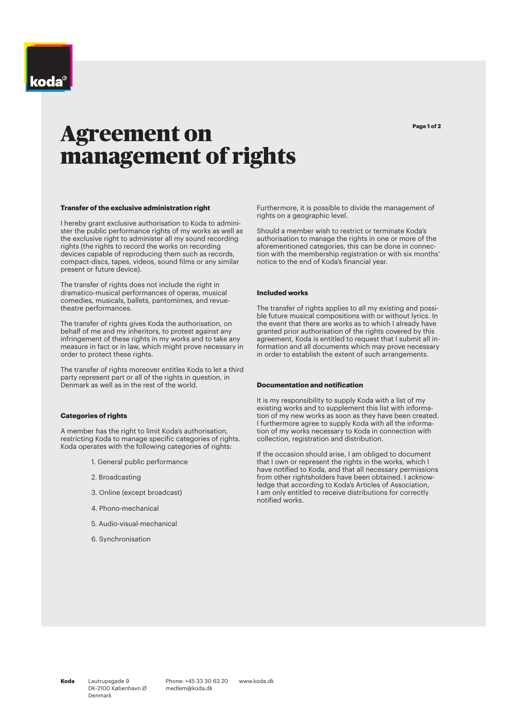# Agreement on management of rights

### **Transfer of the exclusive administration right**

I hereby grant exclusive authorisation to Koda to administer the public performance rights of my works as well as the exclusive right to administer all my sound recording rights (the rights to record the works on recording devices capable of reproducing them such as records, compact-discs, tapes, videos, sound films or any similar present or future device).

The transfer of rights does not include the right in dramatico-musical performances of operas, musical comedies, musicals, ballets, pantomimes, and revuetheatre performances.

The transfer of rights gives Koda the authorisation, on behalf of me and my inheritors, to protest against any infringement of these rights in my works and to take any measure in fact or in law, which might prove necessary in order to protect these rights.

The transfer of rights moreover entitles Koda to let a third party represent part or all of the rights in question, in Denmark as well as in the rest of the world.

### **Categories of rights**

A member has the right to limit Koda's authorisation, restricting Koda to manage specific categories of rights. Koda operates with the following categories of rights:

- 1. General public performance
- 2. Broadcasting
- 3. Online (except broadcast)
- 4. Phono-mechanical
- 5. Audio-visual-mechanical
- 6. Synchronisation

Furthermore, it is possible to divide the management of rights on a geographic level.

Should a member wish to restrict or terminate Koda's authorisation to manage the rights in one or more of the aforementioned categories, this can be done in connection with the membership registration or with six months' notice to the end of Koda's financial year.

### **Included works**

The transfer of rights applies to all my existing and possible future musical compositions with or without lyrics. In the event that there are works as to which I already have granted prior authorisation of the rights covered by this agreement, Koda is entitled to request that I submit all information and all documents which may prove necessary in order to establish the extent of such arrangements.

### **Documentation and notification**

It is my responsibility to supply Koda with a list of my existing works and to supplement this list with information of my new works as soon as they have been created. I furthermore agree to supply Koda with all the information of my works necessary to Koda in connection with collection, registration and distribution.

If the occasion should arise, I am obliged to document that I own or represent the rights in the works, which I have notified to Koda, and that all necessary permissions from other rightsholders have been obtained. I acknowledge that according to Koda's Articles of Association, I am only entitled to receive distributions for correctly notified works.